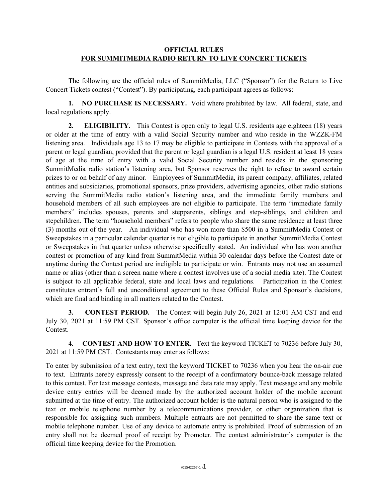## **OFFICIAL RULES FOR SUMMITMEDIA RADIO RETURN TO LIVE CONCERT TICKETS**

The following are the official rules of SummitMedia, LLC ("Sponsor") for the Return to Live Concert Tickets contest ("Contest"). By participating, each participant agrees as follows:

**1. NO PURCHASE IS NECESSARY.** Void where prohibited by law. All federal, state, and local regulations apply.

**2. ELIGIBILITY.** This Contest is open only to legal U.S. residents age eighteen (18) years or older at the time of entry with a valid Social Security number and who reside in the WZZK-FM listening area. Individuals age 13 to 17 may be eligible to participate in Contests with the approval of a parent or legal guardian, provided that the parent or legal guardian is a legal U.S. resident at least 18 years of age at the time of entry with a valid Social Security number and resides in the sponsoring SummitMedia radio station's listening area, but Sponsor reserves the right to refuse to award certain prizes to or on behalf of any minor. Employees of SummitMedia, its parent company, affiliates, related entities and subsidiaries, promotional sponsors, prize providers, advertising agencies, other radio stations serving the SummitMedia radio station's listening area, and the immediate family members and household members of all such employees are not eligible to participate. The term "immediate family members" includes spouses, parents and stepparents, siblings and step-siblings, and children and stepchildren. The term "household members" refers to people who share the same residence at least three (3) months out of the year. An individual who has won more than \$500 in a SummitMedia Contest or Sweepstakes in a particular calendar quarter is not eligible to participate in another SummitMedia Contest or Sweepstakes in that quarter unless otherwise specifically stated. An individual who has won another contest or promotion of any kind from SummitMedia within 30 calendar days before the Contest date or anytime during the Contest period are ineligible to participate or win. Entrants may not use an assumed name or alias (other than a screen name where a contest involves use of a social media site). The Contest is subject to all applicable federal, state and local laws and regulations. Participation in the Contest constitutes entrant's full and unconditional agreement to these Official Rules and Sponsor's decisions, which are final and binding in all matters related to the Contest.

**3. CONTEST PERIOD.** The Contest will begin July 26, 2021 at 12:01 AM CST and end July 30, 2021 at 11:59 PM CST. Sponsor's office computer is the official time keeping device for the **Contest** 

**4. CONTEST AND HOW TO ENTER.** Text the keyword TICKET to 70236 before July 30, 2021 at 11:59 PM CST. Contestants may enter as follows:

To enter by submission of a text entry, text the keyword TICKET to 70236 when you hear the on-air cue to text. Entrants hereby expressly consent to the receipt of a confirmatory bounce-back message related to this contest. For text message contests, message and data rate may apply. Text message and any mobile device entry entries will be deemed made by the authorized account holder of the mobile account submitted at the time of entry. The authorized account holder is the natural person who is assigned to the text or mobile telephone number by a telecommunications provider, or other organization that is responsible for assigning such numbers. Multiple entrants are not permitted to share the same text or mobile telephone number. Use of any device to automate entry is prohibited. Proof of submission of an entry shall not be deemed proof of receipt by Promoter. The contest administrator's computer is the official time keeping device for the Promotion.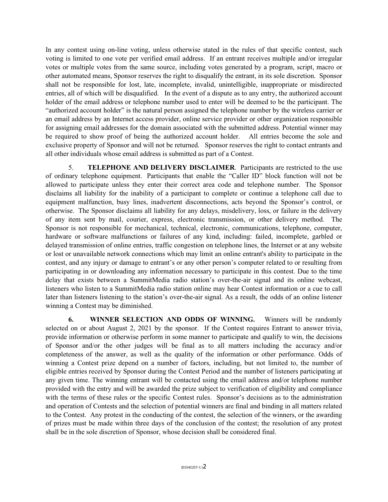In any contest using on-line voting, unless otherwise stated in the rules of that specific contest, such voting is limited to one vote per verified email address. If an entrant receives multiple and/or irregular votes or multiple votes from the same source, including votes generated by a program, script, macro or other automated means, Sponsor reserves the right to disqualify the entrant, in its sole discretion. Sponsor shall not be responsible for lost, late, incomplete, invalid, unintelligible, inappropriate or misdirected entries, all of which will be disqualified. In the event of a dispute as to any entry, the authorized account holder of the email address or telephone number used to enter will be deemed to be the participant. The "authorized account holder" is the natural person assigned the telephone number by the wireless carrier or an email address by an Internet access provider, online service provider or other organization responsible for assigning email addresses for the domain associated with the submitted address. Potential winner may be required to show proof of being the authorized account holder. All entries become the sole and exclusive property of Sponsor and will not be returned. Sponsor reserves the right to contact entrants and all other individuals whose email address is submitted as part of a Contest.

5. **TELEPHONE AND DELIVERY DISCLAIMER**. Participants are restricted to the use of ordinary telephone equipment. Participants that enable the "Caller ID" block function will not be allowed to participate unless they enter their correct area code and telephone number. The Sponsor disclaims all liability for the inability of a participant to complete or continue a telephone call due to equipment malfunction, busy lines, inadvertent disconnections, acts beyond the Sponsor's control, or otherwise. The Sponsor disclaims all liability for any delays, misdelivery, loss, or failure in the delivery of any item sent by mail, courier, express, electronic transmission, or other delivery method. The Sponsor is not responsible for mechanical, technical, electronic, communications, telephone, computer, hardware or software malfunctions or failures of any kind, including: failed, incomplete, garbled or delayed transmission of online entries, traffic congestion on telephone lines, the Internet or at any website or lost or unavailable network connections which may limit an online entrant's ability to participate in the contest, and any injury or damage to entrant's or any other person's computer related to or resulting from participating in or downloading any information necessary to participate in this contest. Due to the time delay that exists between a SummitMedia radio station's over-the-air signal and its online webcast, listeners who listen to a SummitMedia radio station online may hear Contest information or a cue to call later than listeners listening to the station's over-the-air signal. As a result, the odds of an online listener winning a Contest may be diminished.

**6. WINNER SELECTION AND ODDS OF WINNING.** Winners will be randomly selected on or about August 2, 2021 by the sponsor. If the Contest requires Entrant to answer trivia, provide information or otherwise perform in some manner to participate and qualify to win, the decisions of Sponsor and/or the other judges will be final as to all matters including the accuracy and/or completeness of the answer, as well as the quality of the information or other performance. Odds of winning a Contest prize depend on a number of factors, including, but not limited to, the number of eligible entries received by Sponsor during the Contest Period and the number of listeners participating at any given time. The winning entrant will be contacted using the email address and/or telephone number provided with the entry and will be awarded the prize subject to verification of eligibility and compliance with the terms of these rules or the specific Contest rules. Sponsor's decisions as to the administration and operation of Contests and the selection of potential winners are final and binding in all matters related to the Contest. Any protest in the conducting of the contest, the selection of the winners, or the awarding of prizes must be made within three days of the conclusion of the contest; the resolution of any protest shall be in the sole discretion of Sponsor, whose decision shall be considered final.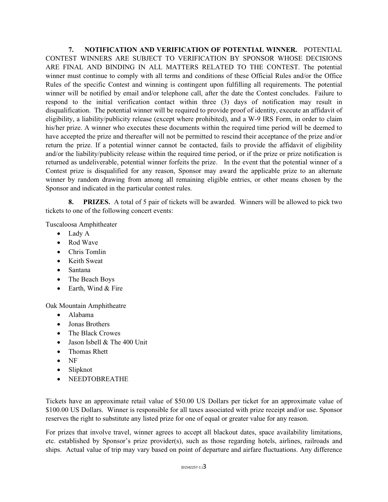**7. NOTIFICATION AND VERIFICATION OF POTENTIAL WINNER.** POTENTIAL CONTEST WINNERS ARE SUBJECT TO VERIFICATION BY SPONSOR WHOSE DECISIONS ARE FINAL AND BINDING IN ALL MATTERS RELATED TO THE CONTEST. The potential winner must continue to comply with all terms and conditions of these Official Rules and/or the Office Rules of the specific Contest and winning is contingent upon fulfilling all requirements. The potential winner will be notified by email and/or telephone call, after the date the Contest concludes. Failure to respond to the initial verification contact within three (3) days of notification may result in disqualification. The potential winner will be required to provide proof of identity, execute an affidavit of eligibility, a liability/publicity release (except where prohibited), and a W-9 IRS Form, in order to claim his/her prize. A winner who executes these documents within the required time period will be deemed to have accepted the prize and thereafter will not be permitted to rescind their acceptance of the prize and/or return the prize. If a potential winner cannot be contacted, fails to provide the affidavit of eligibility and/or the liability/publicity release within the required time period, or if the prize or prize notification is returned as undeliverable, potential winner forfeits the prize. In the event that the potential winner of a Contest prize is disqualified for any reason, Sponsor may award the applicable prize to an alternate winner by random drawing from among all remaining eligible entries, or other means chosen by the Sponsor and indicated in the particular contest rules.

**8. PRIZES.** A total of 5 pair of tickets will be awarded. Winners will be allowed to pick two tickets to one of the following concert events:

Tuscaloosa Amphitheater

- Lady A
- Rod Wave
- Chris Tomlin
- Keith Sweat
- Santana
- The Beach Boys
- Earth, Wind & Fire

Oak Mountain Amphitheatre

- Alabama
- Jonas Brothers
- The Black Crowes
- Jason Isbell & The 400 Unit
- Thomas Rhett
- NF
- Slipknot
- NEEDTOBREATHE

Tickets have an approximate retail value of \$50.00 US Dollars per ticket for an approximate value of \$100.00 US Dollars. Winner is responsible for all taxes associated with prize receipt and/or use. Sponsor reserves the right to substitute any listed prize for one of equal or greater value for any reason.

For prizes that involve travel, winner agrees to accept all blackout dates, space availability limitations, etc. established by Sponsor's prize provider(s), such as those regarding hotels, airlines, railroads and ships. Actual value of trip may vary based on point of departure and airfare fluctuations. Any difference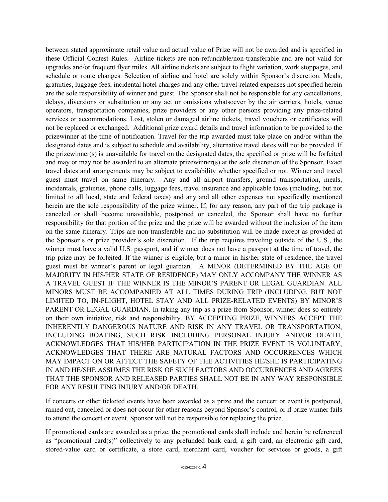between stated approximate retail value and actual value of Prize will not be awarded and is specified in these Official Contest Rules. Airline tickets are non-refundable/non-transferable and are not valid for upgrades and/or frequent flyer miles. All airline tickets are subject to flight variation, work stoppages, and schedule or route changes. Selection of airline and hotel are solely within Sponsor's discretion. Meals, gratuities, luggage fees, incidental hotel charges and any other travel-related expenses not specified herein are the sole responsibility of winner and guest. The Sponsor shall not be responsible for any cancellations, delays, diversions or substitution or any act or omissions whatsoever by the air carriers, hotels, venue operators, transportation companies, prize providers or any other persons providing any prize-related services or accommodations. Lost, stolen or damaged airline tickets, travel vouchers or certificates will not be replaced or exchanged. Additional prize award details and travel information to be provided to the prizewinner at the time of notification. Travel for the trip awarded must take place on and/or within the designated dates and is subject to schedule and availability, alternative travel dates will not be provided. If the prizewinner(s) is unavailable for travel on the designated dates, the specified or prize will be forfeited and may or may not be awarded to an alternate prizewinner(s) at the sole discretion of the Sponsor. Exact travel dates and arrangements may be subject to availability whether specified or not. Winner and travel guest must travel on same itinerary. Any and all airport transfers, ground transportation, meals, incidentals, gratuities, phone calls, luggage fees, travel insurance and applicable taxes (including, but not limited to all local, state and federal taxes) and any and all other expenses not specifically mentioned herein are the sole responsibility of the prize winner. If, for any reason, any part of the trip package is canceled or shall become unavailable, postponed or canceled, the Sponsor shall have no further responsibility for that portion of the prize and the prize will be awarded without the inclusion of the item on the same itinerary. Trips are non-transferable and no substitution will be made except as provided at the Sponsor's or prize provider's sole discretion. If the trip requires traveling outside of the U.S., the winner must have a valid U.S. passport, and if winner does not have a passport at the time of travel, the trip prize may be forfeited. If the winner is eligible, but a minor in his/her state of residence, the travel guest must be winner's parent or legal guardian. A MINOR (DETERMINED BY THE AGE OF MAJORITY IN HIS/HER STATE OF RESIDENCE) MAY ONLY ACCOMPANY THE WINNER AS A TRAVEL GUEST IF THE WINNER IS THE MINOR'S PARENT OR LEGAL GUARDIAN. ALL MINORS MUST BE ACCOMPANIED AT ALL TIMES DURING TRIP (INCLUDING, BUT NOT LIMITED TO, IN-FLIGHT, HOTEL STAY AND ALL PRIZE-RELATED EVENTS) BY MINOR'S PARENT OR LEGAL GUARDIAN. In taking any trip as a prize from Sponsor, winner does so entirely on their own initiative, risk and responsibility. BY ACCEPTING PRIZE, WINNERS ACCEPT THE INHERENTLY DANGEROUS NATURE AND RISK IN ANY TRAVEL OR TRANSPORTATION, INCLUDING BOATING, SUCH RISK INCLUDING PERSONAL INJURY AND/OR DEATH, ACKNOWLEDGES THAT HIS/HER PARTICIPATION IN THE PRIZE EVENT IS VOLUNTARY, ACKNOWLEDGES THAT THERE ARE NATURAL FACTORS AND OCCURRENCES WHICH MAY IMPACT ON OR AFFECT THE SAFETY OF THE ACTIVITIES HE/SHE IS PARTICIPATING IN AND HE/SHE ASSUMES THE RISK OF SUCH FACTORS AND OCCURRENCES AND AGREES THAT THE SPONSOR AND RELEASED PARTIES SHALL NOT BE IN ANY WAY RESPONSIBLE FOR ANY RESULTING INJURY AND/OR DEATH.

If concerts or other ticketed events have been awarded as a prize and the concert or event is postponed, rained out, cancelled or does not occur for other reasons beyond Sponsor's control, or if prize winner fails to attend the concert or event, Sponsor will not be responsible for replacing the prize.

If promotional cards are awarded as a prize, the promotional cards shall include and herein be referenced as "promotional card(s)" collectively to any prefunded bank card, a gift card, an electronic gift card, stored-value card or certificate, a store card, merchant card, voucher for services or goods, a gift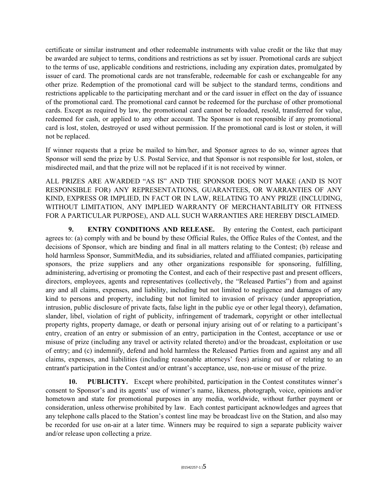certificate or similar instrument and other redeemable instruments with value credit or the like that may be awarded are subject to terms, conditions and restrictions as set by issuer. Promotional cards are subject to the terms of use, applicable conditions and restrictions, including any expiration dates, promulgated by issuer of card. The promotional cards are not transferable, redeemable for cash or exchangeable for any other prize. Redemption of the promotional card will be subject to the standard terms, conditions and restrictions applicable to the participating merchant and or the card issuer in effect on the day of issuance of the promotional card. The promotional card cannot be redeemed for the purchase of other promotional cards. Except as required by law, the promotional card cannot be reloaded, resold, transferred for value, redeemed for cash, or applied to any other account. The Sponsor is not responsible if any promotional card is lost, stolen, destroyed or used without permission. If the promotional card is lost or stolen, it will not be replaced.

If winner requests that a prize be mailed to him/her, and Sponsor agrees to do so, winner agrees that Sponsor will send the prize by U.S. Postal Service, and that Sponsor is not responsible for lost, stolen, or misdirected mail, and that the prize will not be replaced if it is not received by winner.

ALL PRIZES ARE AWARDED "AS IS" AND THE SPONSOR DOES NOT MAKE (AND IS NOT RESPONSIBLE FOR) ANY REPRESENTATIONS, GUARANTEES, OR WARRANTIES OF ANY KIND, EXPRESS OR IMPLIED, IN FACT OR IN LAW, RELATING TO ANY PRIZE (INCLUDING, WITHOUT LIMITATION, ANY IMPLIED WARRANTY OF MERCHANTABILITY OR FITNESS FOR A PARTICULAR PURPOSE), AND ALL SUCH WARRANTIES ARE HEREBY DISCLAIMED.

**9. ENTRY CONDITIONS AND RELEASE.** By entering the Contest, each participant agrees to: (a) comply with and be bound by these Official Rules, the Office Rules of the Contest, and the decisions of Sponsor, which are binding and final in all matters relating to the Contest; (b) release and hold harmless Sponsor, SummitMedia, and its subsidiaries, related and affiliated companies, participating sponsors, the prize suppliers and any other organizations responsible for sponsoring, fulfilling, administering, advertising or promoting the Contest, and each of their respective past and present officers, directors, employees, agents and representatives (collectively, the "Released Parties") from and against any and all claims, expenses, and liability, including but not limited to negligence and damages of any kind to persons and property, including but not limited to invasion of privacy (under appropriation, intrusion, public disclosure of private facts, false light in the public eye or other legal theory), defamation, slander, libel, violation of right of publicity, infringement of trademark, copyright or other intellectual property rights, property damage, or death or personal injury arising out of or relating to a participant's entry, creation of an entry or submission of an entry, participation in the Contest, acceptance or use or misuse of prize (including any travel or activity related thereto) and/or the broadcast, exploitation or use of entry; and (c) indemnify, defend and hold harmless the Released Parties from and against any and all claims, expenses, and liabilities (including reasonable attorneys' fees) arising out of or relating to an entrant's participation in the Contest and/or entrant's acceptance, use, non-use or misuse of the prize.

**10. PUBLICITY.** Except where prohibited, participation in the Contest constitutes winner's consent to Sponsor's and its agents' use of winner's name, likeness, photograph, voice, opinions and/or hometown and state for promotional purposes in any media, worldwide, without further payment or consideration, unless otherwise prohibited by law. Each contest participant acknowledges and agrees that any telephone calls placed to the Station's contest line may be broadcast live on the Station, and also may be recorded for use on-air at a later time. Winners may be required to sign a separate publicity waiver and/or release upon collecting a prize.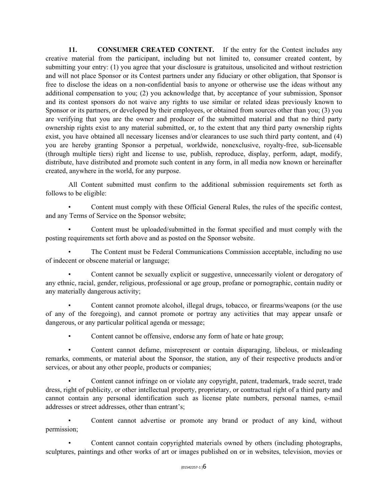**11. CONSUMER CREATED CONTENT.** If the entry for the Contest includes any creative material from the participant, including but not limited to, consumer created content, by submitting your entry: (1) you agree that your disclosure is gratuitous, unsolicited and without restriction and will not place Sponsor or its Contest partners under any fiduciary or other obligation, that Sponsor is free to disclose the ideas on a non-confidential basis to anyone or otherwise use the ideas without any additional compensation to you; (2) you acknowledge that, by acceptance of your submission, Sponsor and its contest sponsors do not waive any rights to use similar or related ideas previously known to Sponsor or its partners, or developed by their employees, or obtained from sources other than you; (3) you are verifying that you are the owner and producer of the submitted material and that no third party ownership rights exist to any material submitted, or, to the extent that any third party ownership rights exist, you have obtained all necessary licenses and/or clearances to use such third party content, and (4) you are hereby granting Sponsor a perpetual, worldwide, nonexclusive, royalty-free, sub-licensable (through multiple tiers) right and license to use, publish, reproduce, display, perform, adapt, modify, distribute, have distributed and promote such content in any form, in all media now known or hereinafter created, anywhere in the world, for any purpose.

All Content submitted must confirm to the additional submission requirements set forth as follows to be eligible:

• Content must comply with these Official General Rules, the rules of the specific contest, and any Terms of Service on the Sponsor website;

• Content must be uploaded/submitted in the format specified and must comply with the posting requirements set forth above and as posted on the Sponsor website.

• The Content must be Federal Communications Commission acceptable, including no use of indecent or obscene material or language;

• Content cannot be sexually explicit or suggestive, unnecessarily violent or derogatory of any ethnic, racial, gender, religious, professional or age group, profane or pornographic, contain nudity or any materially dangerous activity;

• Content cannot promote alcohol, illegal drugs, tobacco, or firearms/weapons (or the use of any of the foregoing), and cannot promote or portray any activities that may appear unsafe or dangerous, or any particular political agenda or message;

• Content cannot be offensive, endorse any form of hate or hate group;

• Content cannot defame, misrepresent or contain disparaging, libelous, or misleading remarks, comments, or material about the Sponsor, the station, any of their respective products and/or services, or about any other people, products or companies;

Content cannot infringe on or violate any copyright, patent, trademark, trade secret, trade dress, right of publicity, or other intellectual property, proprietary, or contractual right of a third party and cannot contain any personal identification such as license plate numbers, personal names, e-mail addresses or street addresses, other than entrant's;

• Content cannot advertise or promote any brand or product of any kind, without permission;

• Content cannot contain copyrighted materials owned by others (including photographs, sculptures, paintings and other works of art or images published on or in websites, television, movies or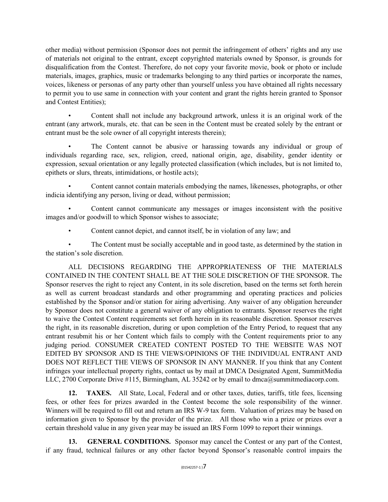other media) without permission (Sponsor does not permit the infringement of others' rights and any use of materials not original to the entrant, except copyrighted materials owned by Sponsor, is grounds for disqualification from the Contest. Therefore, do not copy your favorite movie, book or photo or include materials, images, graphics, music or trademarks belonging to any third parties or incorporate the names, voices, likeness or personas of any party other than yourself unless you have obtained all rights necessary to permit you to use same in connection with your content and grant the rights herein granted to Sponsor and Contest Entities);

• Content shall not include any background artwork, unless it is an original work of the entrant (any artwork, murals, etc. that can be seen in the Content must be created solely by the entrant or entrant must be the sole owner of all copyright interests therein);

The Content cannot be abusive or harassing towards any individual or group of individuals regarding race, sex, religion, creed, national origin, age, disability, gender identity or expression, sexual orientation or any legally protected classification (which includes, but is not limited to, epithets or slurs, threats, intimidations, or hostile acts);

• Content cannot contain materials embodying the names, likenesses, photographs, or other indicia identifying any person, living or dead, without permission;

• Content cannot communicate any messages or images inconsistent with the positive images and/or goodwill to which Sponsor wishes to associate;

• Content cannot depict, and cannot itself, be in violation of any law; and

• The Content must be socially acceptable and in good taste, as determined by the station in the station's sole discretion.

ALL DECISIONS REGARDING THE APPROPRIATENESS OF THE MATERIALS CONTAINED IN THE CONTENT SHALL BE AT THE SOLE DISCRETION OF THE SPONSOR. The Sponsor reserves the right to reject any Content, in its sole discretion, based on the terms set forth herein as well as current broadcast standards and other programming and operating practices and policies established by the Sponsor and/or station for airing advertising. Any waiver of any obligation hereunder by Sponsor does not constitute a general waiver of any obligation to entrants. Sponsor reserves the right to waive the Contest Content requirements set forth herein in its reasonable discretion. Sponsor reserves the right, in its reasonable discretion, during or upon completion of the Entry Period, to request that any entrant resubmit his or her Content which fails to comply with the Content requirements prior to any judging period. CONSUMER CREATED CONTENT POSTED TO THE WEBSITE WAS NOT EDITED BY SPONSOR AND IS THE VIEWS/OPINIONS OF THE INDIVIDUAL ENTRANT AND DOES NOT REFLECT THE VIEWS OF SPONSOR IN ANY MANNER. If you think that any Content infringes your intellectual property rights, contact us by mail at DMCA Designated Agent, SummitMedia LLC, 2700 Corporate Drive #115, Birmingham, AL 35242 or by email to dmca@summitmediacorp.com.

**12. TAXES.** All State, Local, Federal and or other taxes, duties, tariffs, title fees, licensing fees, or other fees for prizes awarded in the Contest become the sole responsibility of the winner. Winners will be required to fill out and return an IRS W-9 tax form. Valuation of prizes may be based on information given to Sponsor by the provider of the prize. All those who win a prize or prizes over a certain threshold value in any given year may be issued an IRS Form 1099 to report their winnings.

**13. GENERAL CONDITIONS.** Sponsor may cancel the Contest or any part of the Contest, if any fraud, technical failures or any other factor beyond Sponsor's reasonable control impairs the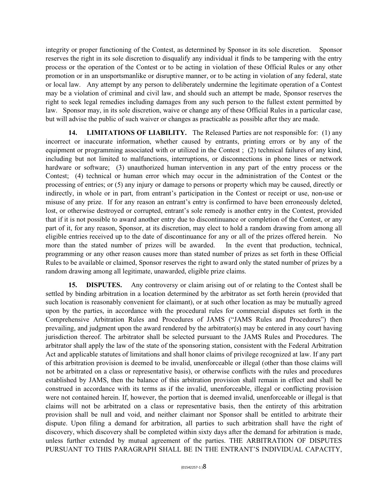integrity or proper functioning of the Contest, as determined by Sponsor in its sole discretion. Sponsor reserves the right in its sole discretion to disqualify any individual it finds to be tampering with the entry process or the operation of the Contest or to be acting in violation of these Official Rules or any other promotion or in an unsportsmanlike or disruptive manner, or to be acting in violation of any federal, state or local law. Any attempt by any person to deliberately undermine the legitimate operation of a Contest may be a violation of criminal and civil law, and should such an attempt be made, Sponsor reserves the right to seek legal remedies including damages from any such person to the fullest extent permitted by law. Sponsor may, in its sole discretion, waive or change any of these Official Rules in a particular case, but will advise the public of such waiver or changes as practicable as possible after they are made.

**14. LIMITATIONS OF LIABILITY.** The Released Parties are not responsible for: (1) any incorrect or inaccurate information, whether caused by entrants, printing errors or by any of the equipment or programming associated with or utilized in the Contest ; (2) technical failures of any kind, including but not limited to malfunctions, interruptions, or disconnections in phone lines or network hardware or software; (3) unauthorized human intervention in any part of the entry process or the Contest; (4) technical or human error which may occur in the administration of the Contest or the processing of entries; or (5) any injury or damage to persons or property which may be caused, directly or indirectly, in whole or in part, from entrant's participation in the Contest or receipt or use, non-use or misuse of any prize. If for any reason an entrant's entry is confirmed to have been erroneously deleted, lost, or otherwise destroyed or corrupted, entrant's sole remedy is another entry in the Contest, provided that if it is not possible to award another entry due to discontinuance or completion of the Contest, or any part of it, for any reason, Sponsor, at its discretion, may elect to hold a random drawing from among all eligible entries received up to the date of discontinuance for any or all of the prizes offered herein. No more than the stated number of prizes will be awarded. In the event that production, technical, programming or any other reason causes more than stated number of prizes as set forth in these Official Rules to be available or claimed, Sponsor reserves the right to award only the stated number of prizes by a random drawing among all legitimate, unawarded, eligible prize claims.

**15. DISPUTES.** Any controversy or claim arising out of or relating to the Contest shall be settled by binding arbitration in a location determined by the arbitrator as set forth herein (provided that such location is reasonably convenient for claimant), or at such other location as may be mutually agreed upon by the parties, in accordance with the procedural rules for commercial disputes set forth in the Comprehensive Arbitration Rules and Procedures of JAMS ("JAMS Rules and Procedures") then prevailing, and judgment upon the award rendered by the arbitrator(s) may be entered in any court having jurisdiction thereof. The arbitrator shall be selected pursuant to the JAMS Rules and Procedures. The arbitrator shall apply the law of the state of the sponsoring station, consistent with the Federal Arbitration Act and applicable statutes of limitations and shall honor claims of privilege recognized at law. If any part of this arbitration provision is deemed to be invalid, unenforceable or illegal (other than those claims will not be arbitrated on a class or representative basis), or otherwise conflicts with the rules and procedures established by JAMS, then the balance of this arbitration provision shall remain in effect and shall be construed in accordance with its terms as if the invalid, unenforceable, illegal or conflicting provision were not contained herein. If, however, the portion that is deemed invalid, unenforceable or illegal is that claims will not be arbitrated on a class or representative basis, then the entirety of this arbitration provision shall be null and void, and neither claimant nor Sponsor shall be entitled to arbitrate their dispute. Upon filing a demand for arbitration, all parties to such arbitration shall have the right of discovery, which discovery shall be completed within sixty days after the demand for arbitration is made, unless further extended by mutual agreement of the parties. THE ARBITRATION OF DISPUTES PURSUANT TO THIS PARAGRAPH SHALL BE IN THE ENTRANT'S INDIVIDUAL CAPACITY,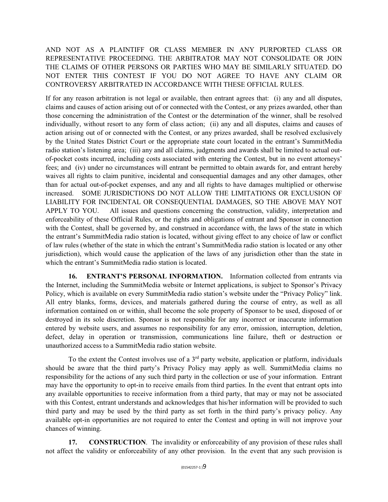AND NOT AS A PLAINTIFF OR CLASS MEMBER IN ANY PURPORTED CLASS OR REPRESENTATIVE PROCEEDING. THE ARBITRATOR MAY NOT CONSOLIDATE OR JOIN THE CLAIMS OF OTHER PERSONS OR PARTIES WHO MAY BE SIMILARLY SITUATED. DO NOT ENTER THIS CONTEST IF YOU DO NOT AGREE TO HAVE ANY CLAIM OR CONTROVERSY ARBITRATED IN ACCORDANCE WITH THESE OFFICIAL RULES.

If for any reason arbitration is not legal or available, then entrant agrees that: (i) any and all disputes, claims and causes of action arising out of or connected with the Contest, or any prizes awarded, other than those concerning the administration of the Contest or the determination of the winner, shall be resolved individually, without resort to any form of class action; (ii) any and all disputes, claims and causes of action arising out of or connected with the Contest, or any prizes awarded, shall be resolved exclusively by the United States District Court or the appropriate state court located in the entrant's SummitMedia radio station's listening area; (iii) any and all claims, judgments and awards shall be limited to actual outof-pocket costs incurred, including costs associated with entering the Contest, but in no event attorneys' fees; and (iv) under no circumstances will entrant be permitted to obtain awards for, and entrant hereby waives all rights to claim punitive, incidental and consequential damages and any other damages, other than for actual out-of-pocket expenses, and any and all rights to have damages multiplied or otherwise increased. SOME JURISDICTIONS DO NOT ALLOW THE LIMITATIONS OR EXCLUSION OF LIABILITY FOR INCIDENTAL OR CONSEQUENTIAL DAMAGES, SO THE ABOVE MAY NOT APPLY TO YOU. All issues and questions concerning the construction, validity, interpretation and enforceability of these Official Rules, or the rights and obligations of entrant and Sponsor in connection with the Contest, shall be governed by, and construed in accordance with, the laws of the state in which the entrant's SummitMedia radio station is located, without giving effect to any choice of law or conflict of law rules (whether of the state in which the entrant's SummitMedia radio station is located or any other jurisdiction), which would cause the application of the laws of any jurisdiction other than the state in which the entrant's SummitMedia radio station is located.

**16. ENTRANT'S PERSONAL INFORMATION.** Information collected from entrants via the Internet, including the SummitMedia website or Internet applications, is subject to Sponsor's Privacy Policy, which is available on every SummitMedia radio station's website under the "Privacy Policy" link. All entry blanks, forms, devices, and materials gathered during the course of entry, as well as all information contained on or within, shall become the sole property of Sponsor to be used, disposed of or destroyed in its sole discretion. Sponsor is not responsible for any incorrect or inaccurate information entered by website users, and assumes no responsibility for any error, omission, interruption, deletion, defect, delay in operation or transmission, communications line failure, theft or destruction or unauthorized access to a SummitMedia radio station website.

To the extent the Contest involves use of a  $3<sup>rd</sup>$  party website, application or platform, individuals should be aware that the third party's Privacy Policy may apply as well. SummitMedia claims no responsibility for the actions of any such third party in the collection or use of your information. Entrant may have the opportunity to opt-in to receive emails from third parties. In the event that entrant opts into any available opportunities to receive information from a third party, that may or may not be associated with this Contest, entrant understands and acknowledges that his/her information will be provided to such third party and may be used by the third party as set forth in the third party's privacy policy. Any available opt-in opportunities are not required to enter the Contest and opting in will not improve your chances of winning.

**17. CONSTRUCTION**. The invalidity or enforceability of any provision of these rules shall not affect the validity or enforceability of any other provision. In the event that any such provision is